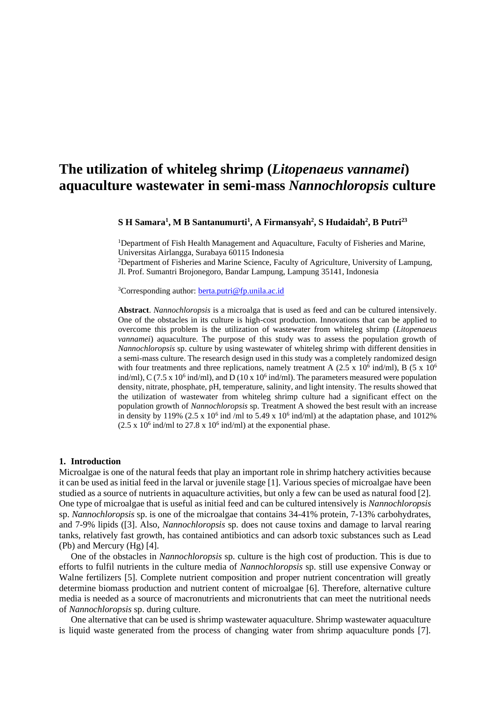# **The utilization of whiteleg shrimp (***Litopenaeus vannamei***) aquaculture wastewater in semi-mass** *Nannochloropsis* **culture**

#### **S H Samara<sup>1</sup> , M B Santanumurti<sup>1</sup> , A Firmansyah<sup>2</sup> , S Hudaidah<sup>2</sup> , B Putri<sup>23</sup>**

<sup>1</sup>Department of Fish Health Management and Aquaculture, Faculty of Fisheries and Marine, Universitas Airlangga, Surabaya 60115 Indonesia <sup>2</sup>Department of Fisheries and Marine Science, Faculty of Agriculture, University of Lampung,

Jl. Prof. Sumantri Brojonegoro, Bandar Lampung, Lampung 35141, Indonesia

<sup>3</sup>Corresponding author: [berta.putri@fp.unila.ac.id](mailto:berta.putri@fp.unila.ac.id)

**Abstract**. *Nannochloropsis* is a microalga that is used as feed and can be cultured intensively. One of the obstacles in its culture is high-cost production. Innovations that can be applied to overcome this problem is the utilization of wastewater from whiteleg shrimp (*Litopenaeus vannamei*) aquaculture. The purpose of this study was to assess the population growth of *Nannochloropsis* sp. culture by using wastewater of whiteleg shrimp with different densities in a semi-mass culture. The research design used in this study was a completely randomized design with four treatments and three replications, namely treatment A (2.5 x 10<sup>6</sup> ind/ml), B (5 x 10<sup>6</sup>) ind/ml), C (7.5 x 10<sup>6</sup> ind/ml), and D (10 x 10<sup>6</sup> ind/ml). The parameters measured were population density, nitrate, phosphate, pH, temperature, salinity, and light intensity. The results showed that the utilization of wastewater from whiteleg shrimp culture had a significant effect on the population growth of *Nannochloropsis* sp. Treatment A showed the best result with an increase in density by 119% (2.5 x 10<sup>6</sup> ind /ml to 5.49 x 10<sup>6</sup> ind/ml) at the adaptation phase, and 1012%  $(2.5 \times 10^6 \text{ ind/ml to } 27.8 \times 10^6 \text{ ind/ml})$  at the exponential phase.

#### **1. Introduction**

Microalgae is one of the natural feeds that play an important role in shrimp hatchery activities because it can be used as initial feed in the larval or juvenile stage [1]. Various species of microalgae have been studied as a source of nutrients in aquaculture activities, but only a few can be used as natural food [2]. One type of microalgae that is useful as initial feed and can be cultured intensively is *Nannochloropsis* sp. *Nannochloropsis* sp. is one of the microalgae that contains 34-41% protein, 7-13% carbohydrates, and 7-9% lipids ([3]. Also, *Nannochloropsis* sp. does not cause toxins and damage to larval rearing tanks, relatively fast growth, has contained antibiotics and can adsorb toxic substances such as Lead (Pb) and Mercury (Hg) [4].

One of the obstacles in *Nannochloropsis* sp. culture is the high cost of production. This is due to efforts to fulfil nutrients in the culture media of *Nannochloropsis* sp. still use expensive Conway or Walne fertilizers [5]. Complete nutrient composition and proper nutrient concentration will greatly determine biomass production and nutrient content of microalgae [6]. Therefore, alternative culture media is needed as a source of macronutrients and micronutrients that can meet the nutritional needs of *Nannochloropsis* sp. during culture.

One alternative that can be used is shrimp wastewater aquaculture. Shrimp wastewater aquaculture is liquid waste generated from the process of changing water from shrimp aquaculture ponds [7].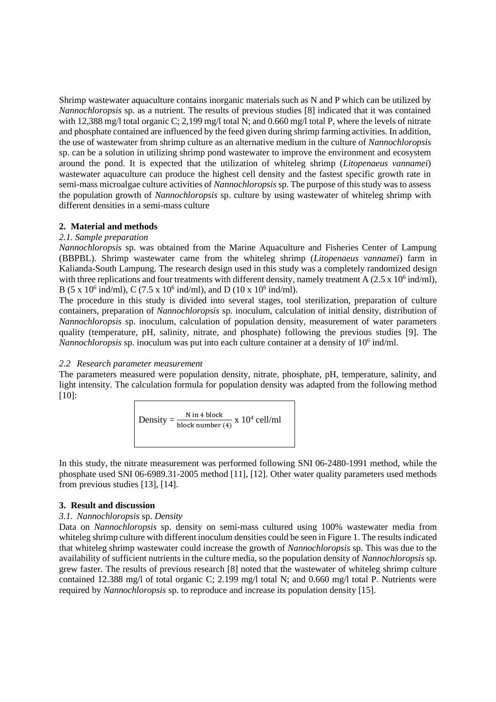Shrimp wastewater aquaculture contains inorganic materials such as N and P which can be utilized by *Nannochloropsis* sp. as a nutrient. The results of previous studies [8] indicated that it was contained with 12,388 mg/l total organic C; 2,199 mg/l total N; and 0.660 mg/l total P, where the levels of nitrate and phosphate contained are influenced by the feed given during shrimp farming activities. In addition, the use of wastewater from shrimp culture as an alternative medium in the culture of *Nannochloropsis* sp. can be a solution in utilizing shrimp pond wastewater to improve the environment and ecosystem around the pond. It is expected that the utilization of whiteleg shrimp (*Litopenaeus vannamei*) wastewater aquaculture can produce the highest cell density and the fastest specific growth rate in semi-mass microalgae culture activities of *Nannochloropsis* sp. The purpose of this study was to assess the population growth of *Nannochloropsis* sp. culture by using wastewater of whiteleg shrimp with different densities in a semi-mass culture

# **2. Material and methods**

## *2.1. Sample preparation*

*Nannochloropsis* sp. was obtained from the Marine Aquaculture and Fisheries Center of Lampung (BBPBL). Shrimp wastewater came from the whiteleg shrimp (*Litopenaeus vannamei*) farm in Kalianda-South Lampung. The research design used in this study was a completely randomized design with three replications and four treatments with different density, namely treatment A  $(2.5 \times 10^6 \text{ ind/ml})$ , B (5 x 10<sup>6</sup> ind/ml), C (7.5 x 10<sup>6</sup> ind/ml), and D (10 x 10<sup>6</sup> ind/ml).

The procedure in this study is divided into several stages, tool sterilization, preparation of culture containers, preparation of *Nannochloropsis* sp. inoculum, calculation of initial density, distribution of *Nannochloropsis* sp. inoculum, calculation of population density, measurement of water parameters quality (temperature, pH, salinity, nitrate, and phosphate) following the previous studies [9]. The Nannochloropsis sp. inoculum was put into each culture container at a density of 10<sup>6</sup> ind/ml.

## *2.2 Research parameter measurement*

The parameters measured were population density, nitrate, phosphate, pH, temperature, salinity, and light intensity. The calculation formula for population density was adapted from the following method  $[10]$ :

> Density  $=$   $\frac{N \text{ in 4 block}}{\text{block number}}$  $\frac{N \ln 4 \text{ block}}{\text{block number (4)}}$  x 10<sup>4</sup> cell/ml

In this study, the nitrate measurement was performed following SNI 06-2480-1991 method, while the phosphate used SNI 06-6989.31-2005 method [11], [12]. Other water quality parameters used methods from previous studies [13], [14].

## **3. Result and discussion**

## *3.1. Nannochloropsis* sp. *Density*

Data on *Nannochloropsis* sp. density on semi-mass cultured using 100% wastewater media from whiteleg shrimp culture with different inoculum densities could be seen in Figure 1. The results indicated that whiteleg shrimp wastewater could increase the growth of *Nannochloropsis* sp. This was due to the availability of sufficient nutrients in the culture media, so the population density of *Nannochloropsis* sp. grew faster. The results of previous research [8] noted that the wastewater of whiteleg shrimp culture contained 12.388 mg/l of total organic C; 2.199 mg/l total N; and 0.660 mg/l total P. Nutrients were required by *Nannochloropsis* sp. to reproduce and increase its population density [15].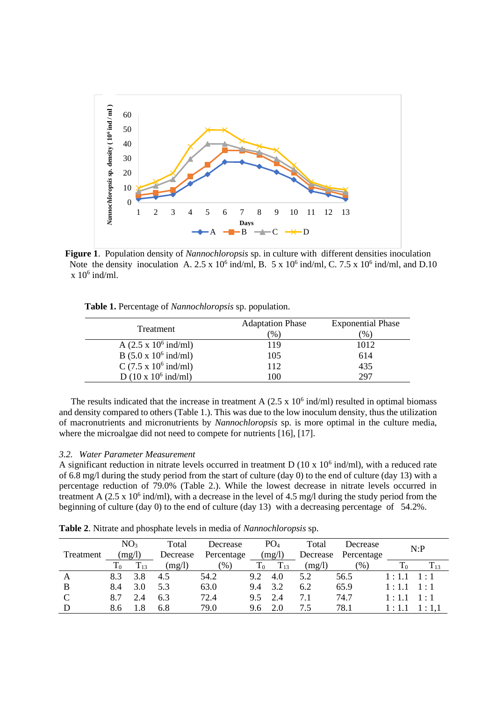

**Figure 1**. Population density of *Nannochloropsis* sp. in culture with different densities inoculation Note the density inoculation A.  $2.5 \times 10^6$  ind/ml, B.  $5 \times 10^6$  ind/ml, C.  $7.5 \times 10^6$  ind/ml, and D.10  $x 10<sup>6</sup>$  ind/ml.

|  | Table 1. Percentage of Nannochloropsis sp. population. |  |  |  |
|--|--------------------------------------------------------|--|--|--|
|--|--------------------------------------------------------|--|--|--|

| Treatment                            | <b>Adaptation Phase</b> | <b>Exponential Phase</b> |  |  |
|--------------------------------------|-------------------------|--------------------------|--|--|
|                                      | (9)                     | $(\% )$                  |  |  |
| A $(2.5 \times 10^6 \text{ ind/ml})$ | 119                     | 1012                     |  |  |
| $B(5.0 \times 10^6 \text{ ind/ml})$  | 105                     | 614                      |  |  |
| C $(7.5 \times 10^6 \text{ ind/ml})$ | 112                     | 435                      |  |  |
| D $(10 \times 10^6 \text{ ind/ml})$  | 100                     | 297                      |  |  |

The results indicated that the increase in treatment A  $(2.5 \times 10^6 \text{ ind/ml})$  resulted in optimal biomass and density compared to others (Table 1.). This was due to the low inoculum density, thus the utilization of macronutrients and micronutrients by *Nannochloropsis* sp. is more optimal in the culture media, where the microalgae did not need to compete for nutrients [16], [17].

## *3.2. Water Parameter Measurement*

A significant reduction in nitrate levels occurred in treatment  $D(10 \times 10^6 \text{ ind/ml})$ , with a reduced rate of 6.8 mg/l during the study period from the start of culture (day 0) to the end of culture (day 13) with a percentage reduction of 79.0% (Table 2.). While the lowest decrease in nitrate levels occurred in treatment A  $(2.5 \times 10^6 \text{ ind/ml})$ , with a decrease in the level of 4.5 mg/l during the study period from the beginning of culture (day 0) to the end of culture (day 13) with a decreasing percentage of 54.2%.

**Table 2**. Nitrate and phosphate levels in media of *Nannochloropsis* sp.

| Treatment |             | NO <sub>3</sub><br>(mg/l) | Total<br>Decrease | Decrease<br>Percentage |             | PO <sub>4</sub><br>(mg/l) | Total<br>Decrease | Decrease<br>Percentage |              | N:P         |
|-----------|-------------|---------------------------|-------------------|------------------------|-------------|---------------------------|-------------------|------------------------|--------------|-------------|
|           | $\rm T_{0}$ | $T_{13}$                  | (mg/l)            | $\frac{9}{6}$          | $\rm T_{0}$ | $T_{13}$                  | (mg/l)            | $\mathcal{O}(6)$       |              | $T_{13}$    |
| A         | 8.3         | 3.8                       | 4.5               | 54.2                   | 9.2         | 4.0                       | 5.2               | 56.5                   | 1:1.1        | $-1 + 1$    |
| B         | 8.4         | 3.0                       | 5.3               | 63.0                   | 9.4         | 3.2                       | 6.2               | 65.9                   | 1:1.1        | $1 \cdot 1$ |
| C         | 8.7         | 2.4                       | 6.3               | 72.4                   | 9.5         | 2.4                       | 7.1               | 74.7                   | $1 \cdot 11$ | $1 \cdot 1$ |
|           | 8.6         | l.8                       | 6.8               | 79.0                   | 9.6         | 2.0                       | 7.5               | 78.1                   | 1:1.1        | 1:1.1       |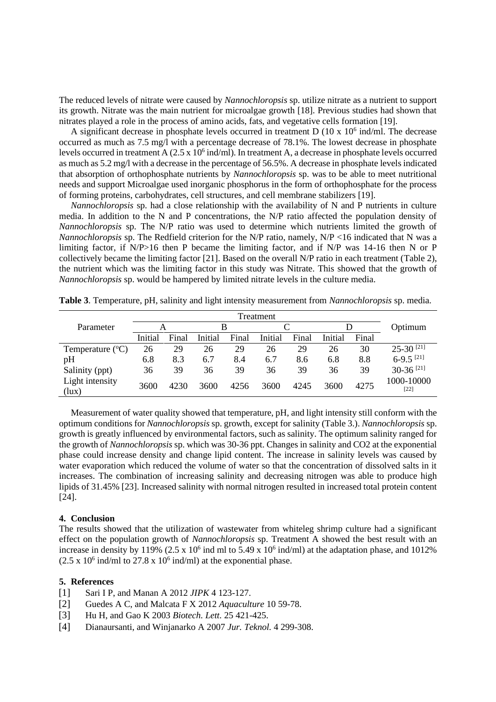The reduced levels of nitrate were caused by *Nannochloropsis* sp. utilize nitrate as a nutrient to support its growth. Nitrate was the main nutrient for microalgae growth [18]. Previous studies had shown that nitrates played a role in the process of amino acids, fats, and vegetative cells formation [19].

A significant decrease in phosphate levels occurred in treatment  $D(10 \times 10^6 \text{ ind/ml})$ . The decrease occurred as much as 7.5 mg/l with a percentage decrease of 78.1%. The lowest decrease in phosphate levels occurred in treatment A  $(2.5 \times 10^6 \text{ ind/ml})$ . In treatment A, a decrease in phosphate levels occurred as much as 5.2 mg/l with a decrease in the percentage of 56.5%. A decrease in phosphate levels indicated that absorption of orthophosphate nutrients by *Nannochloropsis* sp. was to be able to meet nutritional needs and support Microalgae used inorganic phosphorus in the form of orthophosphate for the process of forming proteins, carbohydrates, cell structures, and cell membrane stabilizers [19].

*Nannochloropsis* sp. had a close relationship with the availability of N and P nutrients in culture media. In addition to the N and P concentrations, the N/P ratio affected the population density of *Nannochloropsis* sp. The N/P ratio was used to determine which nutrients limited the growth of *Nannochloropsis* sp. The Redfield criterion for the N/P ratio, namely, N/P <16 indicated that N was a limiting factor, if N/P>16 then P became the limiting factor, and if N/P was 14-16 then N or P collectively became the limiting factor [21]. Based on the overall N/P ratio in each treatment (Table 2), the nutrient which was the limiting factor in this study was Nitrate. This showed that the growth of *Nannochloropsis* sp. would be hampered by limited nitrate levels in the culture media.

|                           | Treatment |       |         |       |         |       |         |       |                         |
|---------------------------|-----------|-------|---------|-------|---------|-------|---------|-------|-------------------------|
| Parameter                 | А         |       | B       |       |         |       |         |       | Optimum                 |
|                           | Initial   | Final | Initial | Final | Initial | Final | Initial | Final |                         |
| Temperature $(^{\circ}C)$ | 26        | 29    | 26      | 29    | 26      | 29    | 26      | 30    | $25-30^{[21]}$          |
| pH                        | 6.8       | 8.3   | 6.7     | 8.4   | 6.7     | 8.6   | 6.8     | 8.8   | $6-9.5$ <sup>[21]</sup> |
| Salinity (ppt)            | 36        | 39    | 36      | 39    | 36      | 39    | 36      | 39    | $30-36$ <sup>[21]</sup> |
| Light intensity<br>(lux)  | 3600      | 4230  | 3600    | 4256  | 3600    | 4245  | 3600    | 4275  | 1000-10000<br>$[22]$    |

**Table 3**. Temperature, pH, salinity and light intensity measurement from *Nannochloropsis* sp. media.

Measurement of water quality showed that temperature, pH, and light intensity still conform with the optimum conditions for *Nannochloropsis* sp. growth, except for salinity (Table 3.). *Nannochloropsis* sp. growth is greatly influenced by environmental factors, such as salinity. The optimum salinity ranged for the growth of *Nannochloropsis* sp. which was 30-36 ppt. Changes in salinity and CO2 at the exponential phase could increase density and change lipid content. The increase in salinity levels was caused by water evaporation which reduced the volume of water so that the concentration of dissolved salts in it increases. The combination of increasing salinity and decreasing nitrogen was able to produce high lipids of 31.45% [23]. Increased salinity with normal nitrogen resulted in increased total protein content  $[24]$ .

## **4. Conclusion**

The results showed that the utilization of wastewater from whiteleg shrimp culture had a significant effect on the population growth of *Nannochloropsis* sp. Treatment A showed the best result with an increase in density by 119% (2.5 x  $10<sup>6</sup>$  ind ml to 5.49 x  $10<sup>6</sup>$  ind/ml) at the adaptation phase, and 1012%  $(2.5 \times 10^6 \text{ ind/ml to } 27.8 \times 10^6 \text{ ind/ml})$  at the exponential phase.

#### **5. References**

- [1] Sari I P, and Manan A 2012 *JIPK* 4 123-127.
- [2] Guedes A C, and Malcata F X 2012 *Aquaculture* 10 59-78.
- [3] Hu H, and Gao K 2003 *Biotech. Lett.* 25 421-425.
- [4] Dianaursanti, and Winjanarko A 2007 *Jur. Teknol.* 4 299-308.